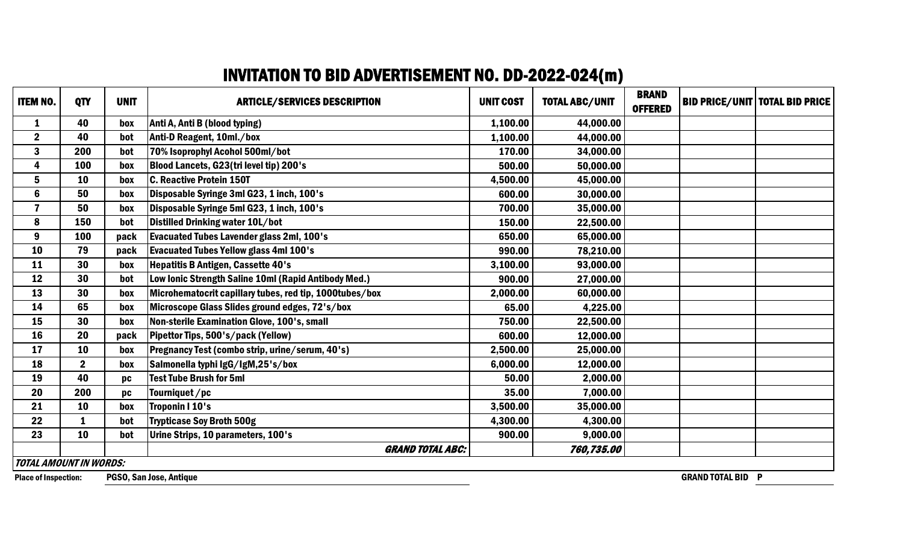## INVITATION TO BID ADVERTISEMENT NO. DD-2022-024(m)

| <b>ITEM NO.</b>                                                                    | <b>QTY</b>       | <b>UNIT</b> | <b>ARTICLE/SERVICES DESCRIPTION</b>                     | <b>UNIT COST</b> | <b>TOTAL ABC/UNIT</b> | <b>BRAND</b><br><b>OFFERED</b> |  | <b>BID PRICE/UNIT   TOTAL BID PRICE</b> |
|------------------------------------------------------------------------------------|------------------|-------------|---------------------------------------------------------|------------------|-----------------------|--------------------------------|--|-----------------------------------------|
| $\mathbf{1}$                                                                       | 40               | box         | Anti A, Anti B (blood typing)                           | 1,100.00         | 44,000.00             |                                |  |                                         |
| $\boldsymbol{2}$                                                                   | 40               | bot         | Anti-D Reagent, 10ml./box                               | 1,100.00         | 44,000.00             |                                |  |                                         |
| $\mathbf{3}$                                                                       | 200              | bot         | 70% Isoprophyl Acohol 500ml/bot                         | 170.00           | 34,000.00             |                                |  |                                         |
| 4                                                                                  | 100              | box         | Blood Lancets, G23(tri level tip) 200's                 | 500.00           | 50,000.00             |                                |  |                                         |
| 5                                                                                  | 10               | box         | <b>C. Reactive Protein 150T</b>                         | 4,500.00         | 45,000.00             |                                |  |                                         |
| $6\phantom{a}$                                                                     | 50               | box         | Disposable Syringe 3ml G23, 1 inch, 100's               | 600.00           | 30,000.00             |                                |  |                                         |
| $\overline{\mathbf{z}}$                                                            | 50               | box         | Disposable Syringe 5ml G23, 1 inch, 100's               | 700.00           | 35,000.00             |                                |  |                                         |
| 8                                                                                  | 150              | bot         | Distilled Drinking water 10L/bot                        | 150.00           | 22,500.00             |                                |  |                                         |
| 9                                                                                  | 100              | pack        | <b>Evacuated Tubes Lavender glass 2ml, 100's</b>        | 650.00           | 65,000.00             |                                |  |                                         |
| 10                                                                                 | 79               | pack        | <b>Evacuated Tubes Yellow glass 4ml 100's</b>           | 990.00           | 78,210.00             |                                |  |                                         |
| 11                                                                                 | 30               | box         | <b>Hepatitis B Antigen, Cassette 40's</b>               | 3,100.00         | 93,000.00             |                                |  |                                         |
| 12                                                                                 | 30               | bot         | Low Ionic Strength Saline 10ml (Rapid Antibody Med.)    | 900.00           | 27,000.00             |                                |  |                                         |
| 13                                                                                 | 30               | box         | Microhematocrit capillary tubes, red tip, 1000tubes/box | 2,000.00         | 60,000.00             |                                |  |                                         |
| 14                                                                                 | 65               | box         | Microscope Glass Slides ground edges, 72's/box          | 65.00            | 4,225.00              |                                |  |                                         |
| 15                                                                                 | 30               | box         | Non-sterile Examination Glove, 100's, small             | 750.00           | 22,500.00             |                                |  |                                         |
| 16                                                                                 | 20               | pack        | Pipettor Tips, 500's/pack (Yellow)                      | 600.00           | 12,000.00             |                                |  |                                         |
| 17                                                                                 | 10               | box         | Pregnancy Test (combo strip, urine/serum, 40's)         | 2,500.00         | 25,000.00             |                                |  |                                         |
| 18                                                                                 | $\boldsymbol{2}$ | box         | Salmonella typhi IgG/IgM,25's/box                       | 6,000.00         | 12,000.00             |                                |  |                                         |
| 19                                                                                 | 40               | pc          | <b>Test Tube Brush for 5ml</b>                          | 50.00            | 2,000.00              |                                |  |                                         |
| 20                                                                                 | 200              | pc          | Tourniquet/pc                                           | 35.00            | 7,000.00              |                                |  |                                         |
| 21                                                                                 | 10               | box         | <b>Troponin I 10's</b>                                  | 3,500.00         | 35,000.00             |                                |  |                                         |
| 22                                                                                 | 1                | bot         | <b>Trypticase Soy Broth 500g</b>                        | 4,300.00         | 4,300.00              |                                |  |                                         |
| 23                                                                                 | 10               | bot         | Urine Strips, 10 parameters, 100's                      | 900.00           | 9,000.00              |                                |  |                                         |
|                                                                                    |                  |             | <b>GRAND TOTAL ABC:</b>                                 |                  | 760,735.00            |                                |  |                                         |
| <b>TOTAL AMOUNT IN WORDS:</b>                                                      |                  |             |                                                         |                  |                       |                                |  |                                         |
| <b>GRAND TOTAL BID P</b><br>PGSO, San Jose, Antique<br><b>Place of Inspection:</b> |                  |             |                                                         |                  |                       |                                |  |                                         |